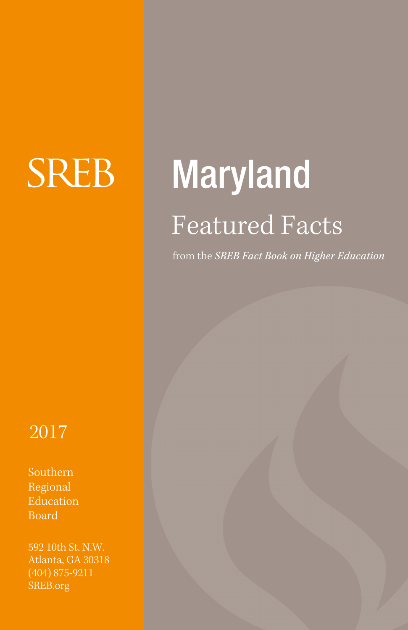# **SREB**

# Maryland Featured Facts

from the *SREB Fact Book on Higher Education*

# 2017

Southern Regional Education Board

592 10th St. N.W. Atlanta, GA 30318 (404) 875-9211 SREB.org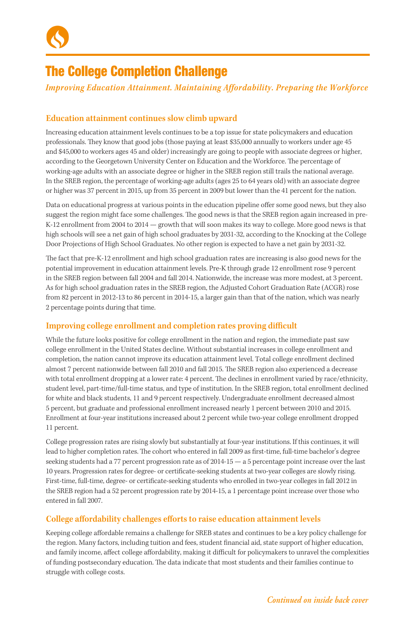

# The College Completion Challenge

*Improving Education Attainment. Maintaining Affordability. Preparing the Workforce*

### **Education attainment continues slow climb upward**

Increasing education attainment levels continues to be a top issue for state policymakers and education professionals. They know that good jobs (those paying at least \$35,000 annually to workers under age 45 and \$45,000 to workers ages 45 and older) increasingly are going to people with associate degrees or higher, according to the Georgetown University Center on Education and the Workforce. The percentage of working-age adults with an associate degree or higher in the SREB region still trails the national average. In the SREB region, the percentage of working-age adults (ages 25 to 64 years old) with an associate degree or higher was 37 percent in 2015, up from 35 percent in 2009 but lower than the 41 percent for the nation.

Data on educational progress at various points in the education pipeline offer some good news, but they also suggest the region might face some challenges. The good news is that the SREB region again increased in pre-K-12 enrollment from 2004 to 2014 — growth that will soon makes its way to college. More good news is that high schools will see a net gain of high school graduates by 2031-32, according to the Knocking at the College Door Projections of High School Graduates. No other region is expected to have a net gain by 2031-32.

The fact that pre-K-12 enrollment and high school graduation rates are increasing is also good news for the potential improvement in education attainment levels. Pre-K through grade 12 enrollment rose 9 percent in the SREB region between fall 2004 and fall 2014. Nationwide, the increase was more modest, at 3 percent. As for high school graduation rates in the SREB region, the Adjusted Cohort Graduation Rate (ACGR) rose from 82 percent in 2012-13 to 86 percent in 2014-15, a larger gain than that of the nation, which was nearly 2 percentage points during that time.

### **Improving college enrollment and completion rates proving difficult**

While the future looks positive for college enrollment in the nation and region, the immediate past saw college enrollment in the United States decline. Without substantial increases in college enrollment and completion, the nation cannot improve its education attainment level. Total college enrollment declined almost 7 percent nationwide between fall 2010 and fall 2015. The SREB region also experienced a decrease with total enrollment dropping at a lower rate: 4 percent. The declines in enrollment varied by race/ethnicity, student level, part-time/full-time status, and type of institution. In the SREB region, total enrollment declined for white and black students, 11 and 9 percent respectively. Undergraduate enrollment decreased almost 5 percent, but graduate and professional enrollment increased nearly 1 percent between 2010 and 2015. Enrollment at four-year institutions increased about 2 percent while two-year college enrollment dropped 11 percent.

College progression rates are rising slowly but substantially at four-year institutions. If this continues, it will lead to higher completion rates. The cohort who entered in fall 2009 as first-time, full-time bachelor's degree seeking students had a 77 percent progression rate as of 2014-15 — a 5 percentage point increase over the last 10 years. Progression rates for degree- or certificate-seeking students at two-year colleges are slowly rising. First-time, full-time, degree- or certificate-seeking students who enrolled in two-year colleges in fall 2012 in the SREB region had a 52 percent progression rate by 2014-15, a 1 percentage point increase over those who entered in fall 2007.

### **College affordability challenges efforts to raise education attainment levels**

Keeping college affordable remains a challenge for SREB states and continues to be a key policy challenge for the region. Many factors, including tuition and fees, student financial aid, state support of higher education, and family income, affect college affordability, making it difficult for policymakers to unravel the complexities of funding postsecondary education. The data indicate that most students and their families continue to struggle with college costs.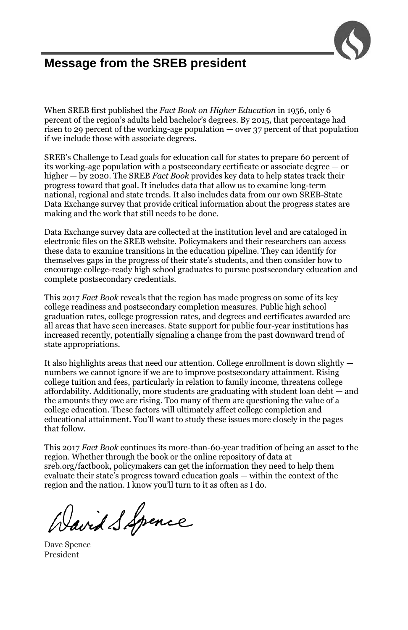

# **Message from the SREB president**

When SREB first published the *Fact Book on Higher Education* in 1956, only 6 percent of the region's adults held bachelor's degrees. By 2015, that percentage had risen to 29 percent of the working-age population — over 37 percent of that population if we include those with associate degrees.

SREB's Challenge to Lead goals for education call for states to prepare 60 percent of its working-age population with a postsecondary certificate or associate degree — or higher — by 2020. The SREB *Fact Book* provides key data to help states track their progress toward that goal. It includes data that allow us to examine long-term national, regional and state trends. It also includes data from our own SREB-State Data Exchange survey that provide critical information about the progress states are making and the work that still needs to be done.

Data Exchange survey data are collected at the institution level and are cataloged in electronic files on the SREB website. Policymakers and their researchers can access these data to examine transitions in the education pipeline. They can identify for themselves gaps in the progress of their state's students, and then consider how to encourage college-ready high school graduates to pursue postsecondary education and complete postsecondary credentials.

This 2017 *Fact Book* reveals that the region has made progress on some of its key college readiness and postsecondary completion measures. Public high school graduation rates, college progression rates, and degrees and certificates awarded are all areas that have seen increases. State support for public four-year institutions has increased recently, potentially signaling a change from the past downward trend of state appropriations.

It also highlights areas that need our attention. College enrollment is down slightly numbers we cannot ignore if we are to improve postsecondary attainment. Rising college tuition and fees, particularly in relation to family income, threatens college affordability. Additionally, more students are graduating with student loan debt — and the amounts they owe are rising. Too many of them are questioning the value of a college education. These factors will ultimately affect college completion and educational attainment. You'll want to study these issues more closely in the pages that follow.

This 2017 *Fact Book* continues its more-than-60-year tradition of being an asset to the region. Whether through the book or the online repository of data at sreb.org/factbook, policymakers can get the information they need to help them evaluate their state's progress toward education goals — within the context of the region and the nation. I know you'll turn to it as often as I do.

Wavid S Spence

Dave Spence President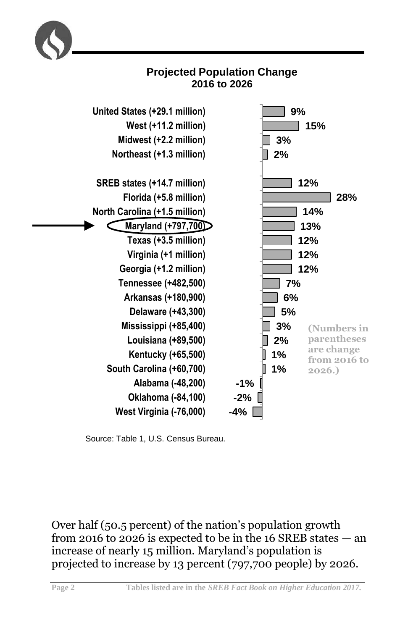



Source: Table 1, U.S. Census Bureau.

Over half (50.5 percent) of the nation's population growth from 2016 to 2026 is expected to be in the 16 SREB states — an increase of nearly 15 million. Maryland's population is projected to increase by 13 percent (797,700 people) by 2026.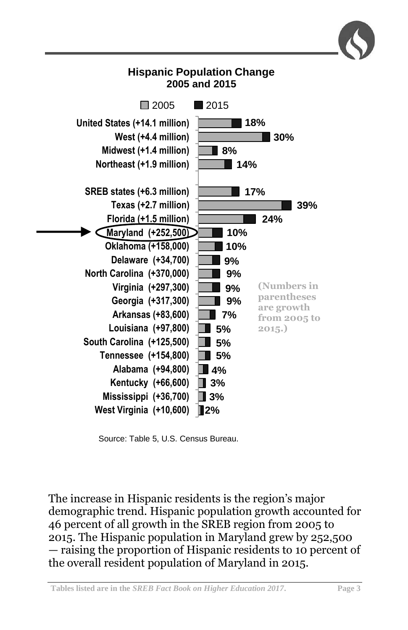

Source: Table 5, U.S. Census Bureau.

The increase in Hispanic residents is the region's major demographic trend. Hispanic population growth accounted for 46 percent of all growth in the SREB region from 2005 to 2015. The Hispanic population in Maryland grew by 252,500 — raising the proportion of Hispanic residents to 10 percent of the overall resident population of Maryland in 2015.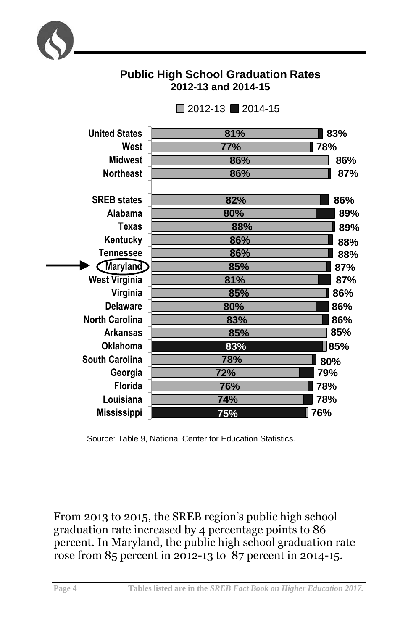

# **Public High School Graduation Rates 2012-13 and 2014-15**

| <b>United States</b>  | 81% | 83% |
|-----------------------|-----|-----|
| West                  | 77% | 78% |
| <b>Midwest</b>        | 86% | 86% |
| <b>Northeast</b>      | 86% | 87% |
|                       |     |     |
| <b>SREB</b> states    | 82% | 86% |
| Alabama               | 80% | 89% |
| Texas                 | 88% | 89% |
| Kentucky              | 86% | 88% |
| <b>Tennessee</b>      | 86% | 88% |
| <b>Maryland</b>       | 85% | 87% |
| <b>West Virginia</b>  | 81% | 87% |
| Virginia              | 85% | 86% |
| <b>Delaware</b>       | 80% | 86% |
| <b>North Carolina</b> | 83% | 86% |
| <b>Arkansas</b>       | 85% | 85% |
| <b>Oklahoma</b>       | 83% | 85% |
| <b>South Carolina</b> | 78% | 80% |
| Georgia               | 72% | 79% |
| Florida               | 76% | 78% |
| Louisiana             | 74% | 78% |
| <b>Mississippi</b>    | 75% | 76% |
|                       |     |     |

 $\Box$  2012-13  $\Box$  2014-15

Source: Table 9, National Center for Education Statistics.

From 2013 to 2015, the SREB region's public high school graduation rate increased by 4 percentage points to 86 percent. In Maryland, the public high school graduation rate rose from 85 percent in 2012-13 to 87 percent in 2014-15.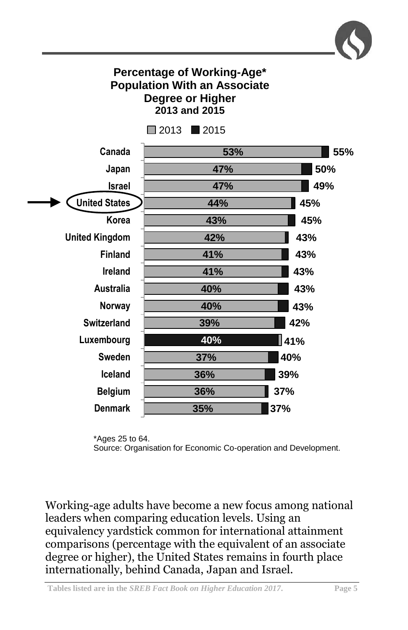

# **Percentage of Working-Age\* Population With an Associate Degree or Higher 2013 and 2015**



\*Ages 25 to 64. Source: Organisation for Economic Co-operation and Development.

Working-age adults have become a new focus among national leaders when comparing education levels. Using an equivalency yardstick common for international attainment comparisons (percentage with the equivalent of an associate degree or higher), the United States remains in fourth place internationally, behind Canada, Japan and Israel.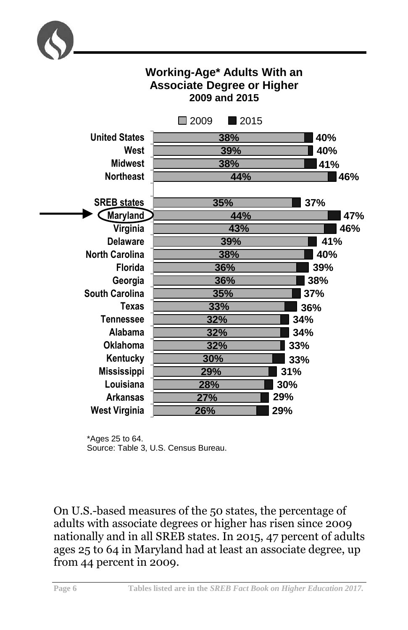

# **Working-Age\* Adults With an Associate Degree or Higher 2009 and 2015**



\*Ages 25 to 64. Source: Table 3, U.S. Census Bureau.

On U.S.-based measures of the 50 states, the percentage of adults with associate degrees or higher has risen since 2009 nationally and in all SREB states. In 2015, 47 percent of adults ages 25 to 64 in Maryland had at least an associate degree, up from 44 percent in 2009.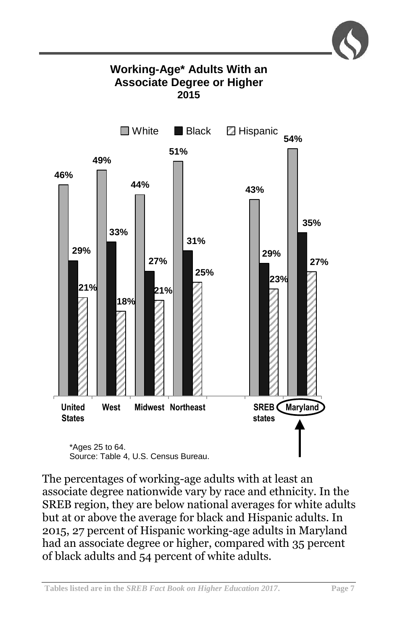

# **Working-Age\* Adults With an Associate Degree or Higher 2015**



Source: Table 4, U.S. Census Bureau.

The percentages of working-age adults with at least an associate degree nationwide vary by race and ethnicity. In the SREB region, they are below national averages for white adults but at or above the average for black and Hispanic adults. In 2015, 27 percent of Hispanic working-age adults in Maryland had an associate degree or higher, compared with 35 percent of black adults and 54 percent of white adults.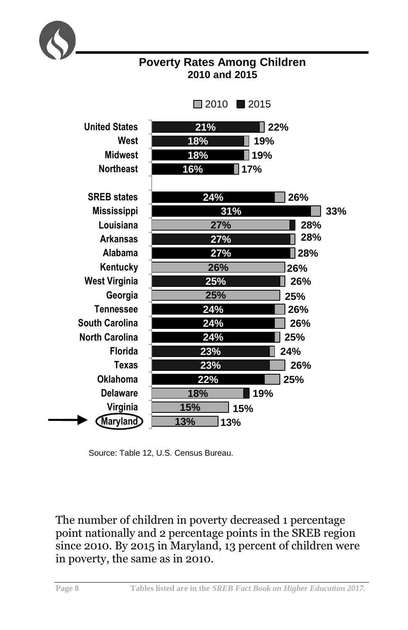

**Poverty Rates Among Children 2010 and 2015**

Source: Table 12, U.S. Census Bureau.

The number of children in poverty decreased 1 percentage point nationally and 2 percentage points in the SREB region since 2010. By 2015 in Maryland, 13 percent of children were in poverty, the same as in 2010.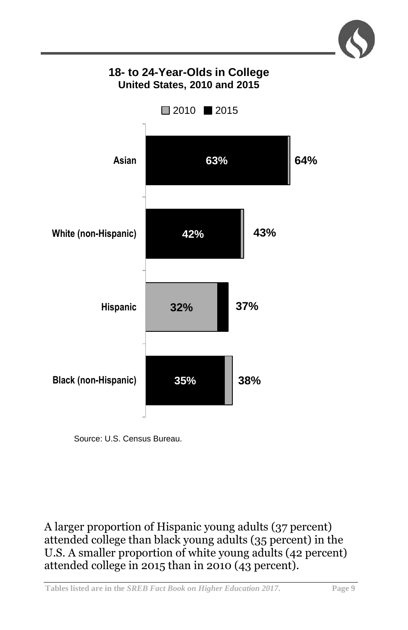

# **18- to 24-Year-Olds in College United States, 2010 and 2015**



Source: U.S. Census Bureau.

A larger proportion of Hispanic young adults (37 percent) attended college than black young adults (35 percent) in the U.S. A smaller proportion of white young adults (42 percent) attended college in 2015 than in 2010 (43 percent).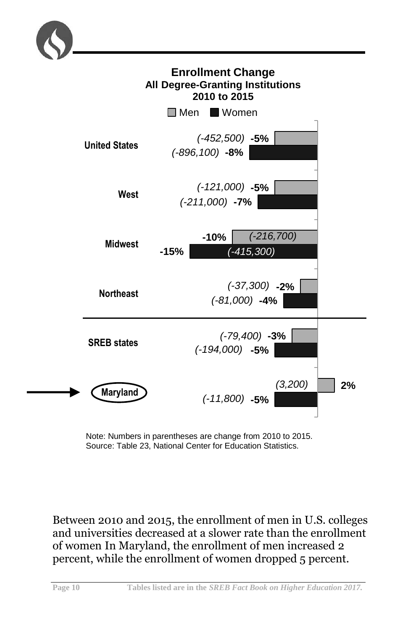



Note: Numbers in parentheses are change from 2010 to 2015. Source: Table 23, National Center for Education Statistics.

Between 2010 and 2015, the enrollment of men in U.S. colleges and universities decreased at a slower rate than the enrollment of women In Maryland, the enrollment of men increased 2 percent, while the enrollment of women dropped 5 percent.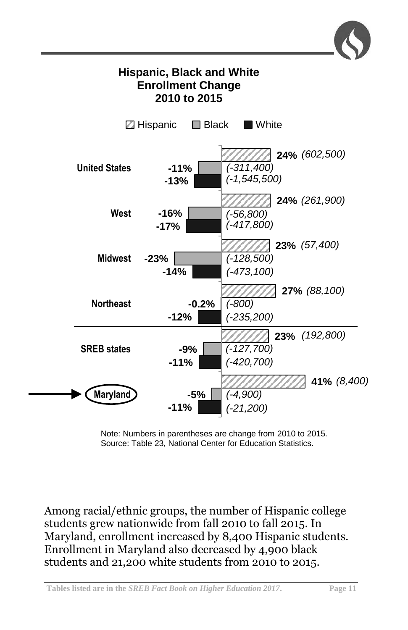

Note: Numbers in parentheses are change from 2010 to 2015. Source: Table 23, National Center for Education Statistics.

Among racial/ethnic groups, the number of Hispanic college students grew nationwide from fall 2010 to fall 2015. In Maryland, enrollment increased by 8,400 Hispanic students. Enrollment in Maryland also decreased by 4,900 black students and 21,200 white students from 2010 to 2015.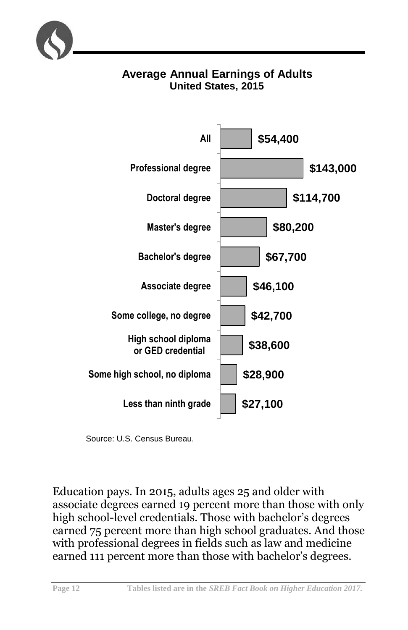

# **Average Annual Earnings of Adults United States, 2015**



Source: U.S. Census Bureau.

Education pays. In 2015, adults ages 25 and older with associate degrees earned 19 percent more than those with only high school-level credentials. Those with bachelor's degrees earned 75 percent more than high school graduates. And those with professional degrees in fields such as law and medicine earned 111 percent more than those with bachelor's degrees.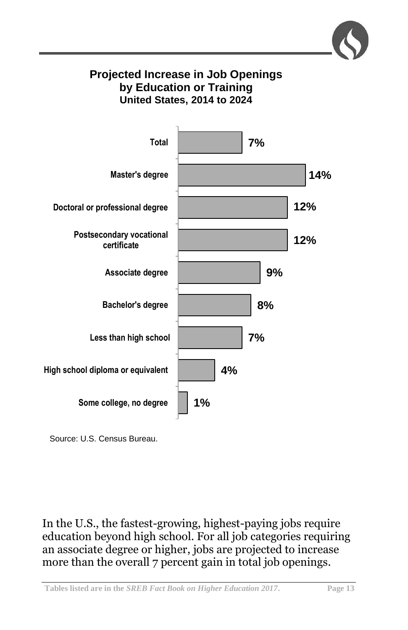# **Projected Increase in Job Openings by Education or Training United States, 2014 to 2024**



Source: U.S. Census Bureau.

In the U.S., the fastest-growing, highest-paying jobs require education beyond high school. For all job categories requiring an associate degree or higher, jobs are projected to increase more than the overall 7 percent gain in total job openings.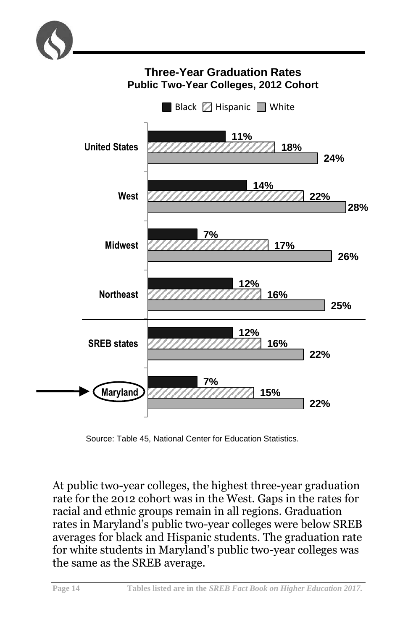

# **Three-Year Graduation Rates Public Two-Year Colleges, 2012 Cohort**



Source: Table 45, National Center for Education Statistics.

At public two-year colleges, the highest three-year graduation rate for the 2012 cohort was in the West. Gaps in the rates for racial and ethnic groups remain in all regions. Graduation rates in Maryland's public two-year colleges were below SREB averages for black and Hispanic students. The graduation rate for white students in Maryland's public two-year colleges was the same as the SREB average.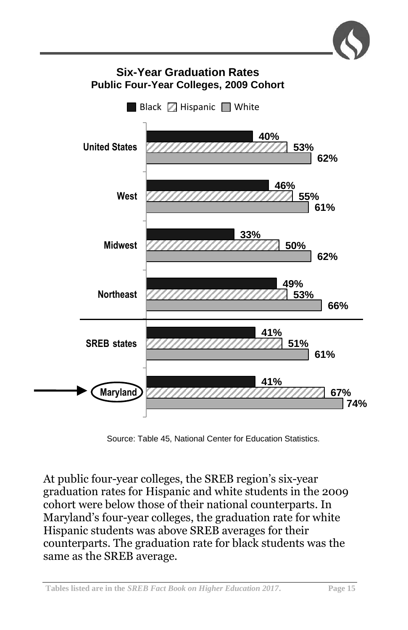

Source: Table 45, National Center for Education Statistics.

At public four-year colleges, the SREB region's six-year graduation rates for Hispanic and white students in the 2009 cohort were below those of their national counterparts. In Maryland's four-year colleges, the graduation rate for white Hispanic students was above SREB averages for their counterparts. The graduation rate for black students was the same as the SREB average.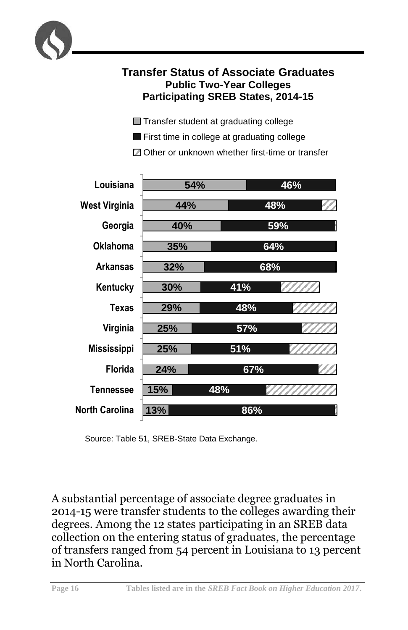

# **Transfer Status of Associate Graduates Public Two-Year Colleges Participating SREB States, 2014-15**

- **Transfer student at graduating college**
- **First time in college at graduating college**

 $\boxtimes$  Other or unknown whether first-time or transfer



Source: Table 51, SREB-State Data Exchange.

A substantial percentage of associate degree graduates in 2014-15 were transfer students to the colleges awarding their degrees. Among the 12 states participating in an SREB data collection on the entering status of graduates, the percentage of transfers ranged from 54 percent in Louisiana to 13 percent in North Carolina.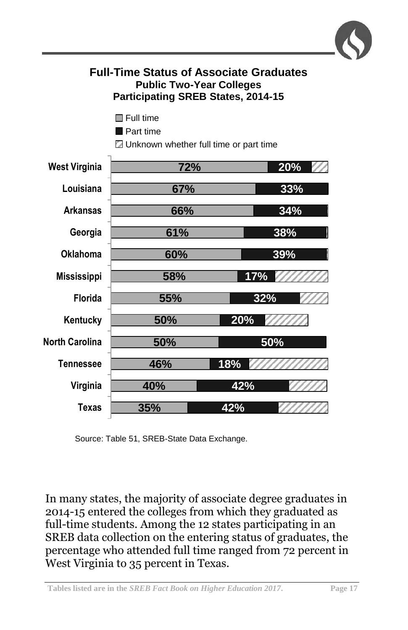

# **Full-Time Status of Associate Graduates Public Two-Year Colleges Participating SREB States, 2014-15**

- **Full time**
- **Part time**
- **E** Unknown whether full time or part time



Source: Table 51, SREB-State Data Exchange.

In many states, the majority of associate degree graduates in 2014-15 entered the colleges from which they graduated as full-time students. Among the 12 states participating in an SREB data collection on the entering status of graduates, the percentage who attended full time ranged from 72 percent in West Virginia to 35 percent in Texas.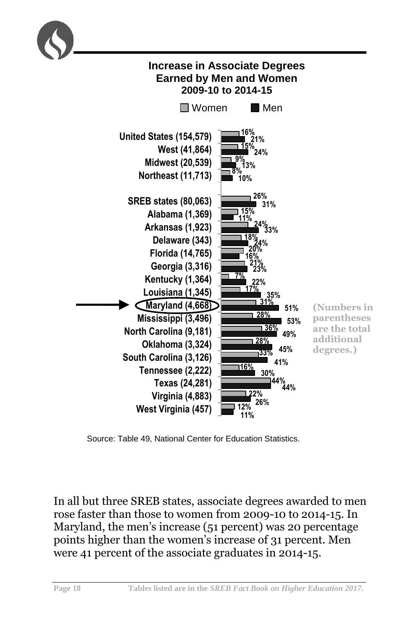

Source: Table 49, National Center for Education Statistics.

In all but three SREB states, associate degrees awarded to men rose faster than those to women from 2009-10 to 2014-15. In Maryland, the men's increase (51 percent) was 20 percentage points higher than the women's increase of 31 percent. Men were 41 percent of the associate graduates in 2014-15.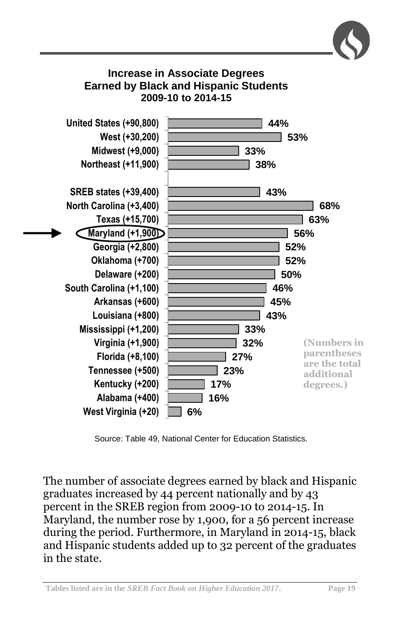

**27% 23% 17% 16%**

**(Numbers in parentheses are the total additional degrees.)**

Source: Table 49, National Center for Education Statistics.

**6%**

**Florida (+8,100) Tennessee (+500) Kentucky (+200) Alabama (+400) West Virginia (+20)**

The number of associate degrees earned by black and Hispanic graduates increased by 44 percent nationally and by 43 percent in the SREB region from 2009-10 to 2014-15. In Maryland, the number rose by 1,900, for a 56 percent increase during the period. Furthermore, in Maryland in 2014-15, black and Hispanic students added up to 32 percent of the graduates in the state.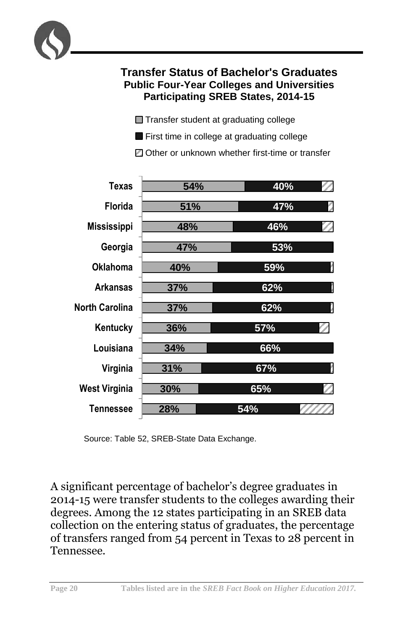

Transfer student at graduating college

**First time in college at graduating college** 

■ Other or unknown whether first-time or transfer



Source: Table 52, SREB-State Data Exchange.

A significant percentage of bachelor's degree graduates in 2014-15 were transfer students to the colleges awarding their degrees. Among the 12 states participating in an SREB data collection on the entering status of graduates, the percentage of transfers ranged from 54 percent in Texas to 28 percent in Tennessee.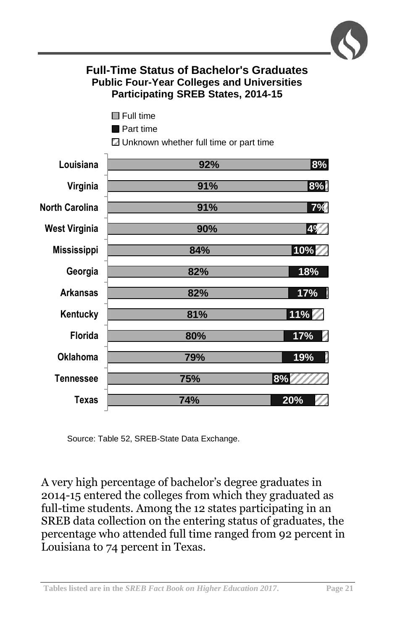

# **Full-Time Status of Bachelor's Graduates Public Four-Year Colleges and Universities Participating SREB States, 2014-15**

- **Full time**
- **Part time**

Unknown whether full time or part time



Source: Table 52, SREB-State Data Exchange.

A very high percentage of bachelor's degree graduates in 2014-15 entered the colleges from which they graduated as full-time students. Among the 12 states participating in an SREB data collection on the entering status of graduates, the percentage who attended full time ranged from 92 percent in Louisiana to 74 percent in Texas.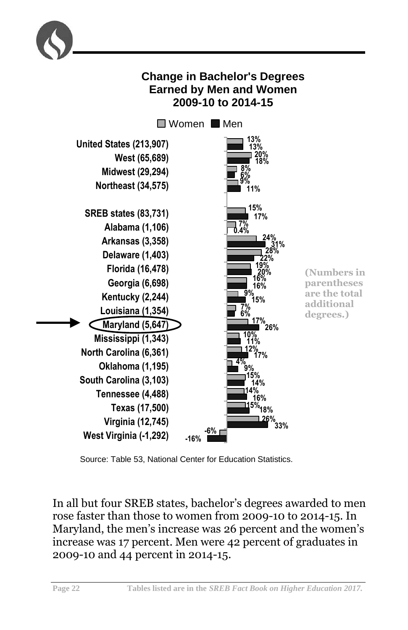

Source: Table 53, National Center for Education Statistics.

In all but four SREB states, bachelor's degrees awarded to men rose faster than those to women from 2009-10 to 2014-15. In Maryland, the men's increase was 26 percent and the women's increase was 17 percent. Men were 42 percent of graduates in 2009-10 and 44 percent in 2014-15.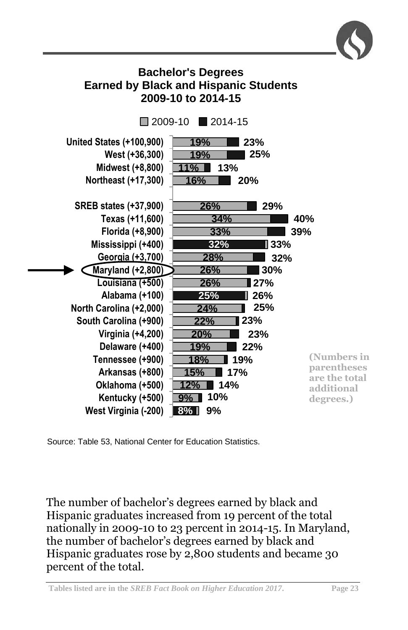

# **Bachelor's Degrees Earned by Black and Hispanic Students 2009-10 to 2014-15**



Source: Table 53, National Center for Education Statistics.

The number of bachelor's degrees earned by black and Hispanic graduates increased from 19 percent of the total nationally in 2009-10 to 23 percent in 2014-15. In Maryland, the number of bachelor's degrees earned by black and Hispanic graduates rose by 2,800 students and became 30 percent of the total.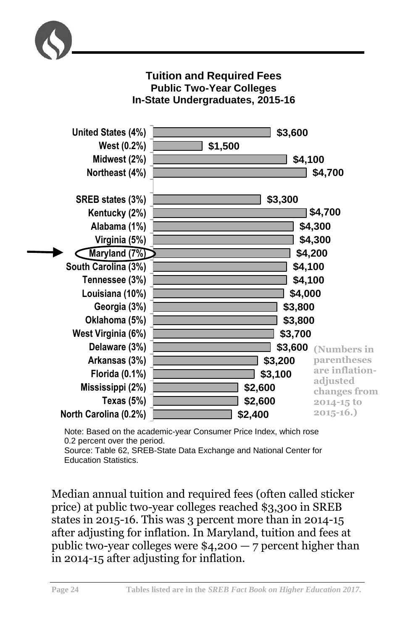

## **Tuition and Required Fees Public Two-Year Colleges In-State Undergraduates, 2015-16**



Note: Based on the academic-year Consumer Price Index, which rose 0.2 percent over the period. Source: Table 62, SREB-State Data Exchange and National Center for

Education Statistics.

Median annual tuition and required fees (often called sticker price) at public two-year colleges reached \$3,300 in SREB states in 2015-16. This was 3 percent more than in 2014-15 after adjusting for inflation. In Maryland, tuition and fees at public two-year colleges were  $$4,200 - 7$  percent higher than in 2014-15 after adjusting for inflation.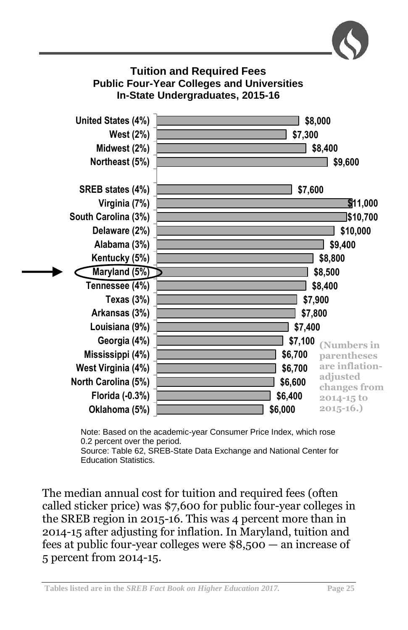



Note: Based on the academic-year Consumer Price Index, which rose 0.2 percent over the period.

Source: Table 62, SREB-State Data Exchange and National Center for Education Statistics.

The median annual cost for tuition and required fees (often called sticker price) was \$7,600 for public four-year colleges in the SREB region in 2015-16. This was 4 percent more than in 2014-15 after adjusting for inflation. In Maryland, tuition and fees at public four-year colleges were \$8,500 — an increase of 5 percent from 2014-15.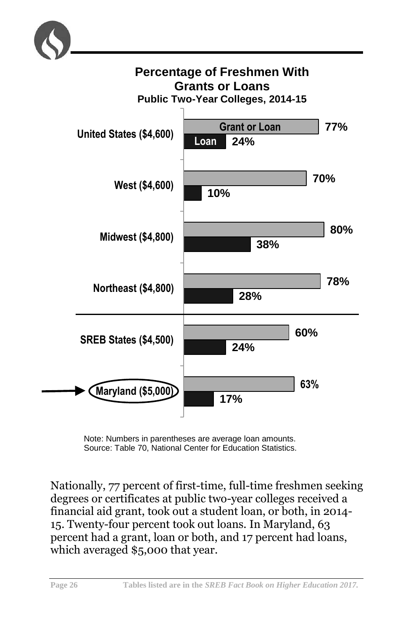



Note: Numbers in parentheses are average loan amounts. Source: Table 70, National Center for Education Statistics.

Nationally, 77 percent of first-time, full-time freshmen seeking degrees or certificates at public two-year colleges received a financial aid grant, took out a student loan, or both, in 2014- 15. Twenty-four percent took out loans. In Maryland, 63 percent had a grant, loan or both, and 17 percent had loans, which averaged \$5,000 that year.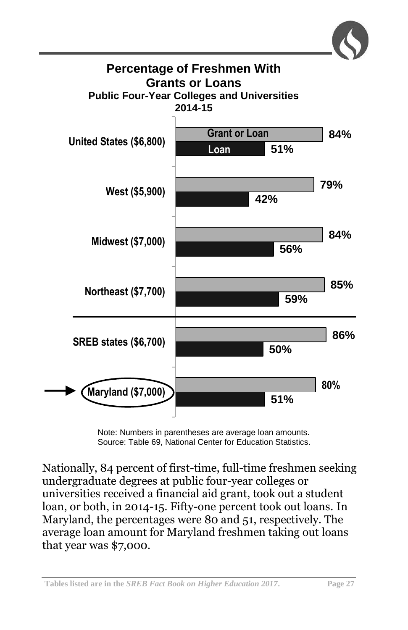

Note: Numbers in parentheses are average loan amounts. Source: Table 69, National Center for Education Statistics.

Nationally, 84 percent of first-time, full-time freshmen seeking undergraduate degrees at public four-year colleges or universities received a financial aid grant, took out a student loan, or both, in 2014-15. Fifty-one percent took out loans. In Maryland, the percentages were 80 and 51, respectively. The average loan amount for Maryland freshmen taking out loans that year was \$7,000.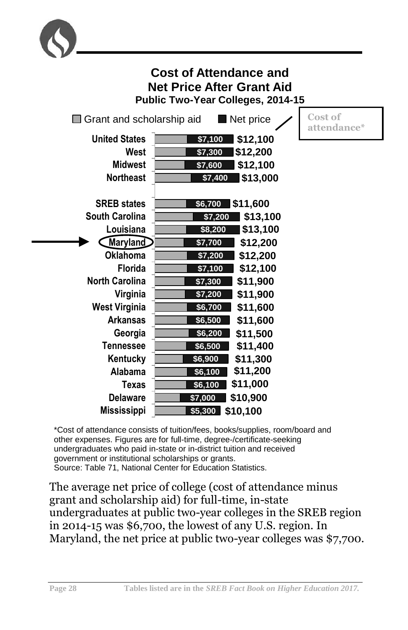

| <b>Cost of Attendance and</b><br><b>Net Price After Grant Aid</b><br>Public Two-Year Colleges, 2014-15 |                                                                                          |                        |
|--------------------------------------------------------------------------------------------------------|------------------------------------------------------------------------------------------|------------------------|
| $\Box$ Grant and scholarship aid                                                                       | Net price                                                                                | Cost of<br>attendance* |
| <b>United States</b><br>West<br><b>Midwest</b><br><b>Northeast</b>                                     | \$7,100<br>\$12,100<br>\$7,300<br>\$12,200<br>\$12,100<br>\$7,600<br>\$13,000<br>\$7,400 |                        |
| <b>SREB</b> states<br><b>South Carolina</b><br>Louisiana                                               | \$11,600<br>\$6,700<br>\$13,100<br>\$7,200<br>\$13,100<br>\$8,200                        |                        |
| Maryland                                                                                               | \$7,700<br>\$12,200                                                                      |                        |
| <b>Oklahoma</b><br><b>Florida</b>                                                                      | \$7,200<br>\$12,200<br>\$7,100<br>\$12,100                                               |                        |
| <b>North Carolina</b>                                                                                  | \$11,900<br>\$7,300                                                                      |                        |
| Virginia<br><b>West Virginia</b>                                                                       | \$7,200<br>\$11,900<br>\$6,700<br>\$11,600                                               |                        |
| <b>Arkansas</b>                                                                                        | \$6,500<br>\$11,600                                                                      |                        |
| Georgia<br><b>Tennessee</b>                                                                            | \$6,200<br>\$11,500<br>\$6,500<br>\$11,400                                               |                        |
| Kentucky                                                                                               | \$11,300<br>\$6,900                                                                      |                        |
| Alabama<br><b>Texas</b>                                                                                | \$11,200<br>\$6,100<br>\$11,000<br>\$6,100                                               |                        |
| <b>Delaware</b><br><b>Mississippi</b>                                                                  | \$7,000<br>\$10,900<br>\$5,300<br>\$10,100                                               |                        |

\*Cost of attendance consists of tuition/fees, books/supplies, room/board and other expenses. Figures are for full-time, degree-/certificate-seeking undergraduates who paid in-state or in-district tuition and received government or institutional scholarships or grants. Source: Table 71, National Center for Education Statistics.

The average net price of college (cost of attendance minus grant and scholarship aid) for full-time, in-state undergraduates at public two-year colleges in the SREB region in 2014-15 was \$6,700, the lowest of any U.S. region. In Maryland, the net price at public two-year colleges was \$7,700.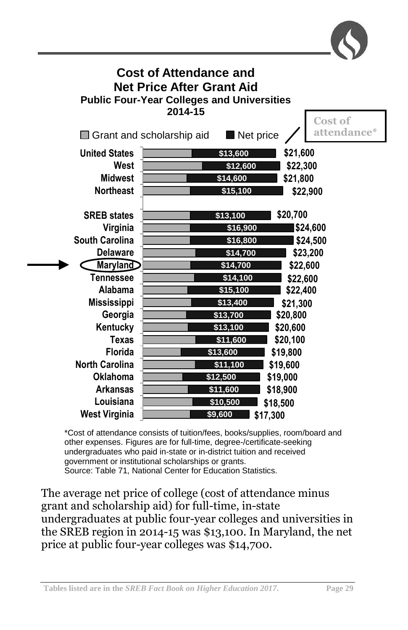

| <b>Cost of Attendance and</b><br><b>Net Price After Grant Aid</b><br><b>Public Four-Year Colleges and Universities</b><br>2014-15<br><b>Cost of</b> |                                                                                                                     |  |  |  |
|-----------------------------------------------------------------------------------------------------------------------------------------------------|---------------------------------------------------------------------------------------------------------------------|--|--|--|
| attendance*<br>Net price<br>$\Box$ Grant and scholarship aid                                                                                        |                                                                                                                     |  |  |  |
| <b>United States</b><br>West<br><b>Midwest</b><br><b>Northeast</b>                                                                                  | \$21,600<br>\$13,600<br>\$22,300<br>\$12,600<br>\$21,800<br>\$14,600<br>\$15,100<br>\$22,900                        |  |  |  |
| <b>SREB</b> states<br>Virginia<br><b>South Carolina</b><br><b>Delaware</b>                                                                          | \$20,700<br>\$13,100<br>\$24,600<br>\$16,900<br>\$24,500<br>\$16,800<br>\$14,700<br>\$23,200                        |  |  |  |
| <b>Maryland</b><br>Tennessee<br><b>Alabama</b><br><b>Mississippi</b>                                                                                | \$14,700<br>\$22,600<br>\$14,100<br>\$22,600<br>\$15,100<br>\$22,400<br>\$13,400<br>\$21,300                        |  |  |  |
| Georgia<br>Kentucky<br><b>Texas</b><br><b>Florida</b>                                                                                               | \$13,700<br>\$20,800<br>\$13,100<br>\$20,600<br>\$11,600<br>\$20,100<br>\$13,600<br>\$19,800                        |  |  |  |
| <b>North Carolina</b><br><b>Oklahoma</b><br><b>Arkansas</b><br>Louisiana<br><b>West Virginia</b>                                                    | \$19,600<br>\$11,100<br>\$12,500<br>\$19,000<br>\$11,600<br>\$18,900<br>\$10,500<br>\$18,500<br>\$9,600<br>\$17,300 |  |  |  |

\*Cost of attendance consists of tuition/fees, books/supplies, room/board and other expenses. Figures are for full-time, degree-/certificate-seeking undergraduates who paid in-state or in-district tuition and received government or institutional scholarships or grants. Source: Table 71, National Center for Education Statistics.

The average net price of college (cost of attendance minus grant and scholarship aid) for full-time, in-state undergraduates at public four-year colleges and universities in the SREB region in 2014-15 was \$13,100. In Maryland, the net price at public four-year colleges was \$14,700.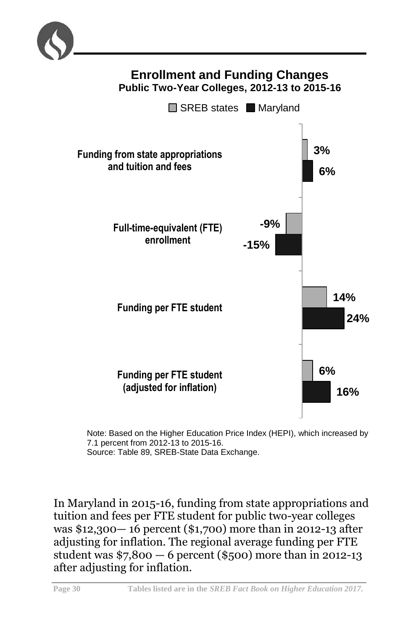



Note: Based on the Higher Education Price Index (HEPI), which increased by 7.1 percent from 2012-13 to 2015-16. Source: Table 89, SREB-State Data Exchange.

In Maryland in 2015-16, funding from state appropriations and tuition and fees per FTE student for public two-year colleges was \$12,300— 16 percent (\$1,700) more than in 2012-13 after adjusting for inflation. The regional average funding per FTE student was \$7,800 — 6 percent (\$500) more than in 2012-13 after adjusting for inflation.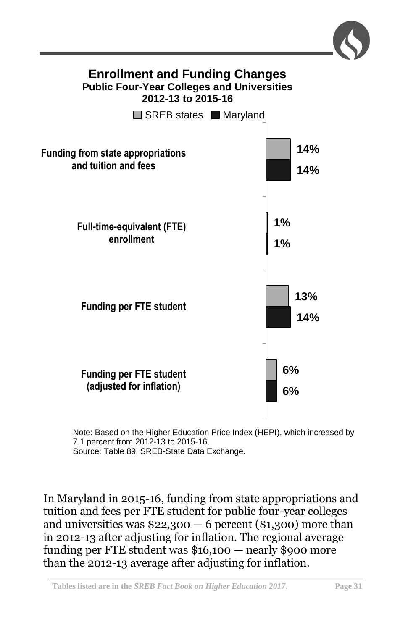

Note: Based on the Higher Education Price Index (HEPI), which increased by 7.1 percent from 2012-13 to 2015-16. Source: Table 89, SREB-State Data Exchange.

In Maryland in 2015-16, funding from state appropriations and tuition and fees per FTE student for public four-year colleges and universities was  $$22,300 - 6$  percent (\$1,300) more than in 2012-13 after adjusting for inflation. The regional average funding per FTE student was \$16,100 — nearly \$900 more than the 2012-13 average after adjusting for inflation.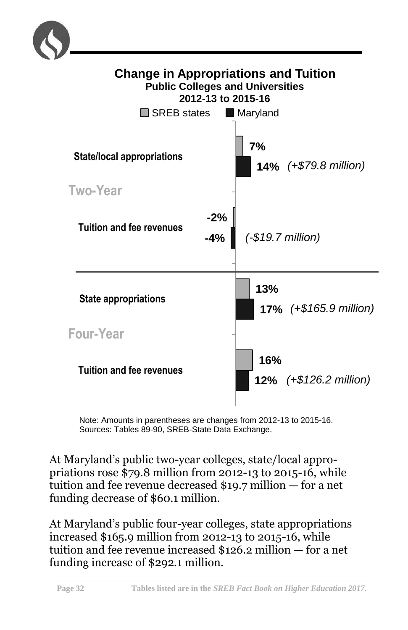



Note: Amounts in parentheses are changes from 2012-13 to 2015-16. Sources: Tables 89-90, SREB-State Data Exchange.

At Maryland's public two-year colleges, state/local appropriations rose \$79.8 million from 2012-13 to 2015-16, while tuition and fee revenue decreased \$19.7 million — for a net funding decrease of \$60.1 million.

At Maryland's public four-year colleges, state appropriations increased \$165.9 million from 2012-13 to 2015-16, while tuition and fee revenue increased \$126.2 million — for a net funding increase of \$292.1 million.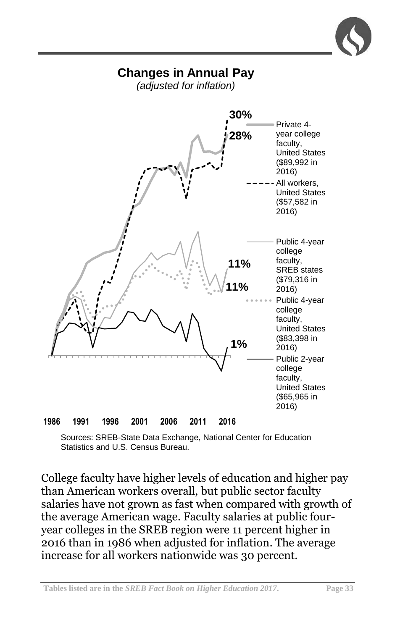# **Changes in Annual Pay**

*(adjusted for inflation)*



Sources: SREB-State Data Exchange, National Center for Education Statistics and U.S. Census Bureau.

College faculty have higher levels of education and higher pay than American workers overall, but public sector faculty salaries have not grown as fast when compared with growth of the average American wage. Faculty salaries at public fouryear colleges in the SREB region were 11 percent higher in 2016 than in 1986 when adjusted for inflation. The average increase for all workers nationwide was 30 percent.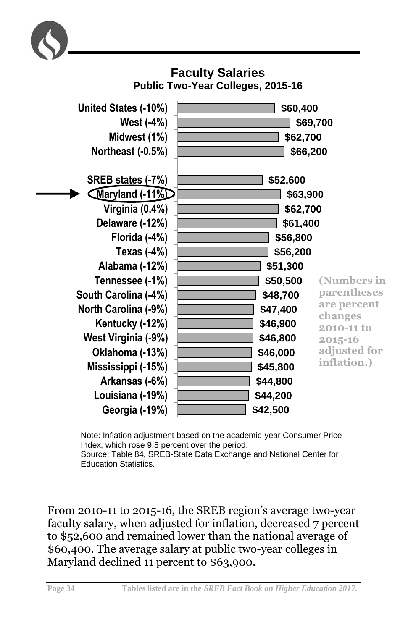



Note: Inflation adjustment based on the academic-year Consumer Price Index, which rose 9.5 percent over the period. Source: Table 84, SREB-State Data Exchange and National Center for Education Statistics.

From 2010-11 to 2015-16, the SREB region's average two-year faculty salary, when adjusted for inflation, decreased 7 percent to \$52,600 and remained lower than the national average of \$60,400. The average salary at public two-year colleges in Maryland declined 11 percent to \$63,900.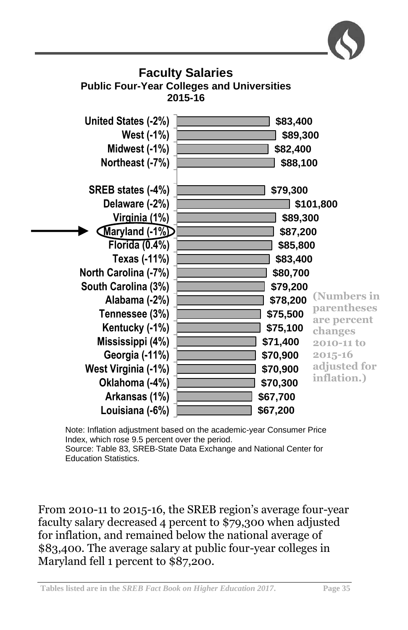

Note: Inflation adjustment based on the academic-year Consumer Price Index, which rose 9.5 percent over the period. Source: Table 83, SREB-State Data Exchange and National Center for Education Statistics.

From 2010-11 to 2015-16, the SREB region's average four-year faculty salary decreased 4 percent to \$79,300 when adjusted for inflation, and remained below the national average of \$83,400. The average salary at public four-year colleges in Maryland fell 1 percent to \$87,200.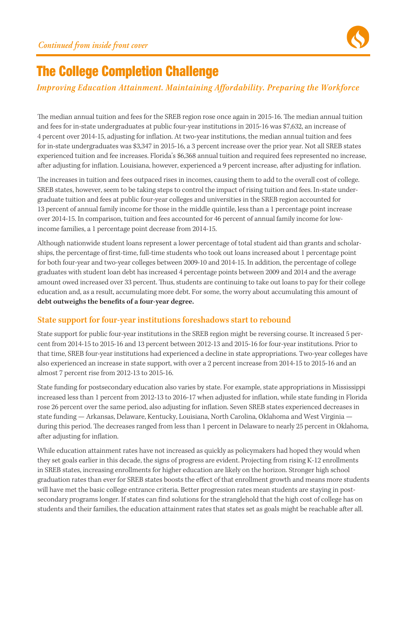

# The College Completion Challenge

### *Improving Education Attainment. Maintaining Affordability. Preparing the Workforce*

The median annual tuition and fees for the SREB region rose once again in 2015-16. The median annual tuition and fees for in-state undergraduates at public four-year institutions in 2015-16 was \$7,632, an increase of 4 percent over 2014-15, adjusting for inflation. At two-year institutions, the median annual tuition and fees for in-state undergraduates was \$3,347 in 2015-16, a 3 percent increase over the prior year. Not all SREB states experienced tuition and fee increases. Florida's \$6,368 annual tuition and required fees represented no increase, after adjusting for inflation. Louisiana, however, experienced a 9 percent increase, after adjusting for inflation.

The increases in tuition and fees outpaced rises in incomes, causing them to add to the overall cost of college. SREB states, however, seem to be taking steps to control the impact of rising tuition and fees. In-state undergraduate tuition and fees at public four-year colleges and universities in the SREB region accounted for 13 percent of annual family income for those in the middle quintile, less than a 1 percentage point increase over 2014-15. In comparison, tuition and fees accounted for 46 percent of annual family income for lowincome families, a 1 percentage point decrease from 2014-15.

Although nationwide student loans represent a lower percentage of total student aid than grants and scholarships, the percentage of first-time, full-time students who took out loans increased about 1 percentage point for both four-year and two-year colleges between 2009-10 and 2014-15. In addition, the percentage of college graduates with student loan debt has increased 4 percentage points between 2009 and 2014 and the average amount owed increased over 33 percent. Thus, students are continuing to take out loans to pay for their college education and, as a result, accumulating more debt. For some, the worry about accumulating this amount of **debt outweighs the benefits of a four-year degree.** 

### **State support for four-year institutions foreshadows start to rebound**

State support for public four-year institutions in the SREB region might be reversing course. It increased 5 percent from 2014-15 to 2015-16 and 13 percent between 2012-13 and 2015-16 for four-year institutions. Prior to that time, SREB four-year institutions had experienced a decline in state appropriations. Two-year colleges have also experienced an increase in state support, with over a 2 percent increase from 2014-15 to 2015-16 and an almost 7 percent rise from 2012-13 to 2015-16.

State funding for postsecondary education also varies by state. For example, state appropriations in Mississippi increased less than 1 percent from 2012-13 to 2016-17 when adjusted for inflation, while state funding in Florida rose 26 percent over the same period, also adjusting for inflation. Seven SREB states experienced decreases in state funding — Arkansas, Delaware, Kentucky, Louisiana, North Carolina, Oklahoma and West Virginia during this period. The decreases ranged from less than 1 percent in Delaware to nearly 25 percent in Oklahoma, after adjusting for inflation.

While education attainment rates have not increased as quickly as policymakers had hoped they would when they set goals earlier in this decade, the signs of progress are evident. Projecting from rising K-12 enrollments in SREB states, increasing enrollments for higher education are likely on the horizon. Stronger high school graduation rates than ever for SREB states boosts the effect of that enrollment growth and means more students will have met the basic college entrance criteria. Better progression rates mean students are staying in postsecondary programs longer. If states can find solutions for the stranglehold that the high cost of college has on students and their families, the education attainment rates that states set as goals might be reachable after all.